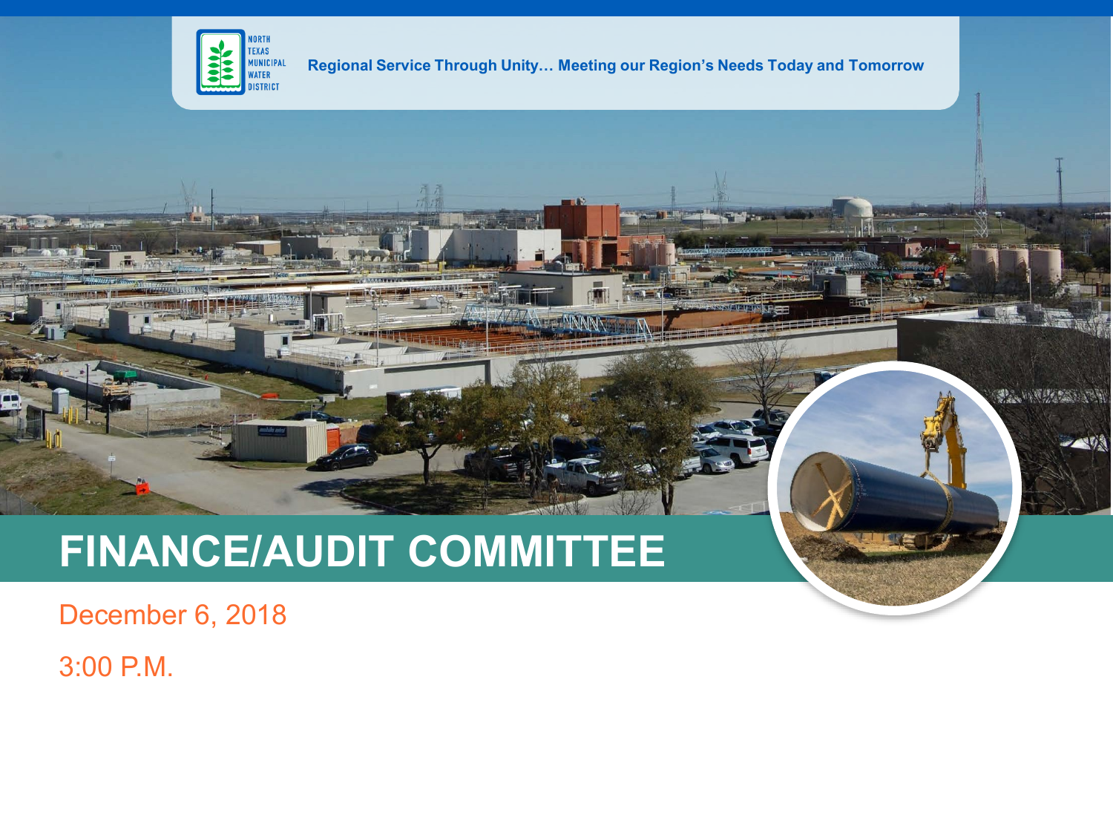

**Regional Service Through Unity… Meeting our Region's Needs Today and Tomorrow**

**光、中国发展的 189** 

一个吸

## **FINANCE/AUDIT COMMITTEE**

December 6, 2018

3:00 P.M.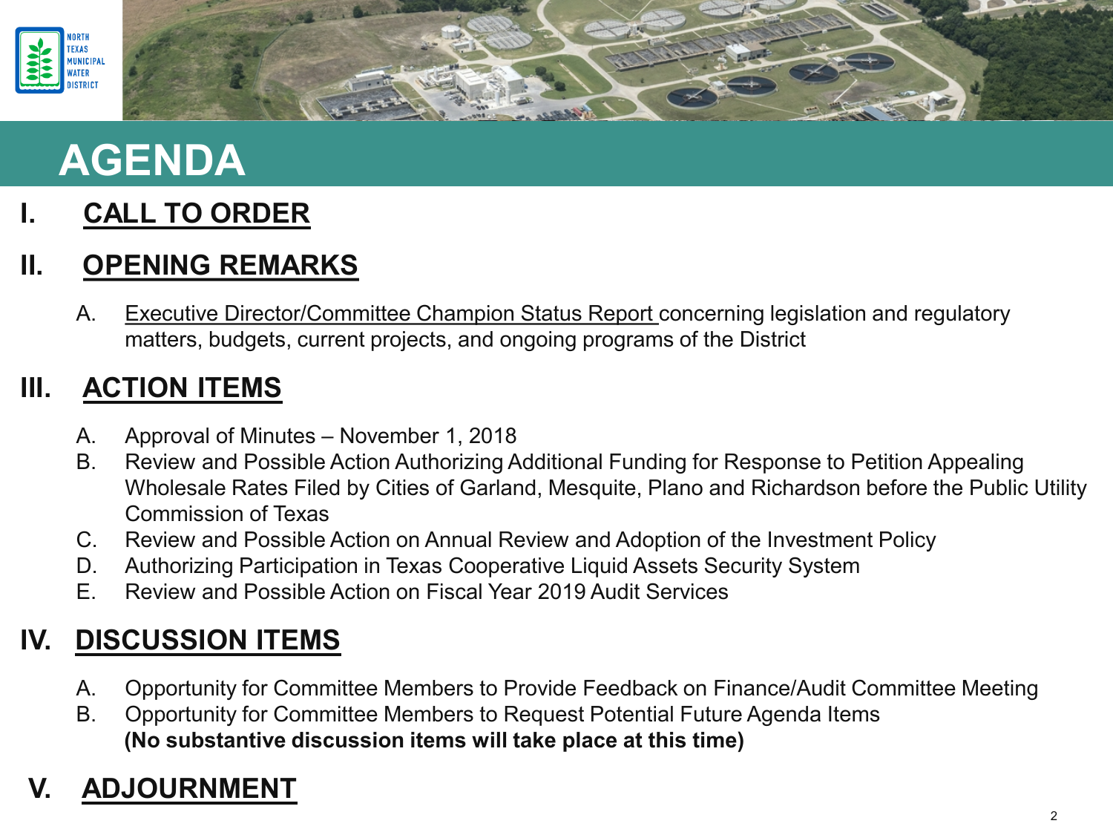

## **AGENDA**

#### **I. CALL TO ORDER**

#### **II. OPENING REMARKS**

A. Executive Director/Committee Champion Status Report concerning legislation and regulatory matters, budgets, current projects, and ongoing programs of the District

#### **III. ACTION ITEMS**

- A. Approval of Minutes November 1, 2018
- B. Review and Possible Action Authorizing Additional Funding for Response to Petition Appealing Wholesale Rates Filed by Cities of Garland, Mesquite, Plano and Richardson before the Public Utility Commission of Texas
- C. Review and Possible Action on Annual Review and Adoption of the Investment Policy
- D. Authorizing Participation in Texas Cooperative Liquid Assets Security System
- E. Review and Possible Action on Fiscal Year 2019 Audit Services

#### **IV. DISCUSSION ITEMS**

- A. Opportunity for Committee Members to Provide Feedback on Finance/Audit Committee Meeting
- B. Opportunity for Committee Members to Request Potential Future Agenda Items **(No substantive discussion items will take place at this time)**

### **V. ADJOURNMENT**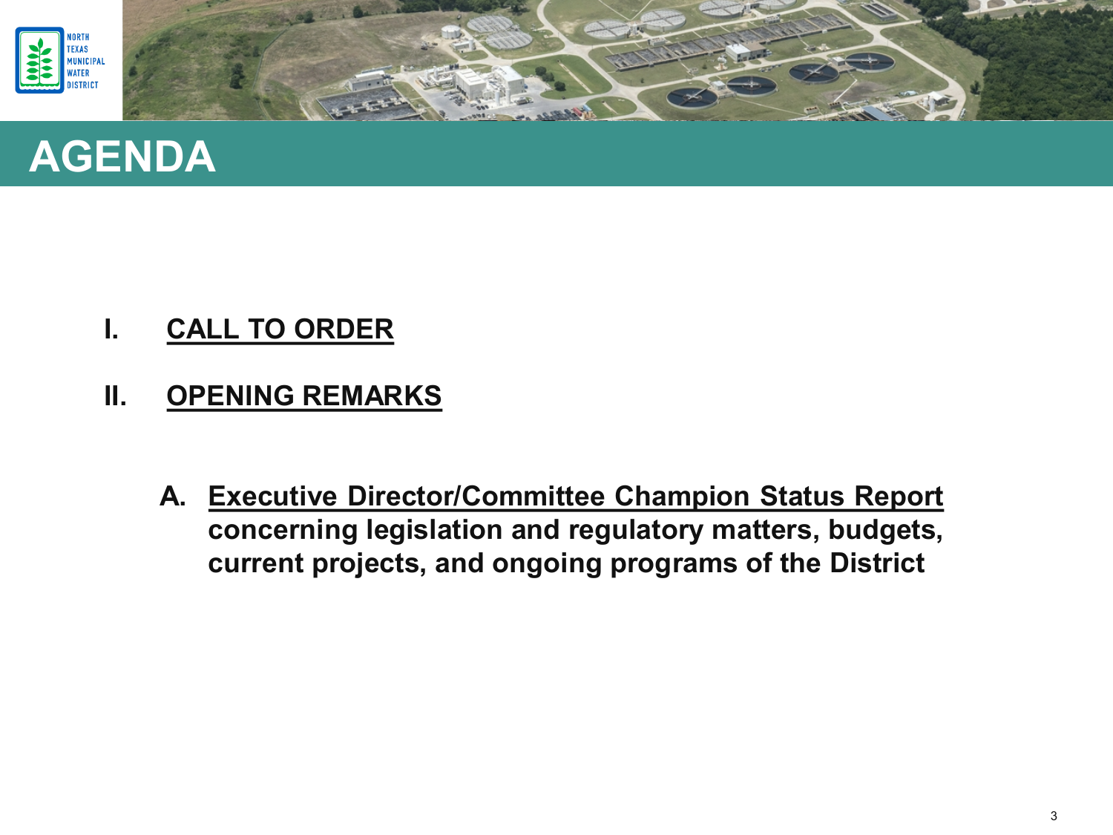





- **I. CALL TO ORDER**
- **II. OPENING REMARKS**
	- **A. Executive Director/Committee Champion Status Report concerning legislation and regulatory matters, budgets, current projects, and ongoing programs of the District**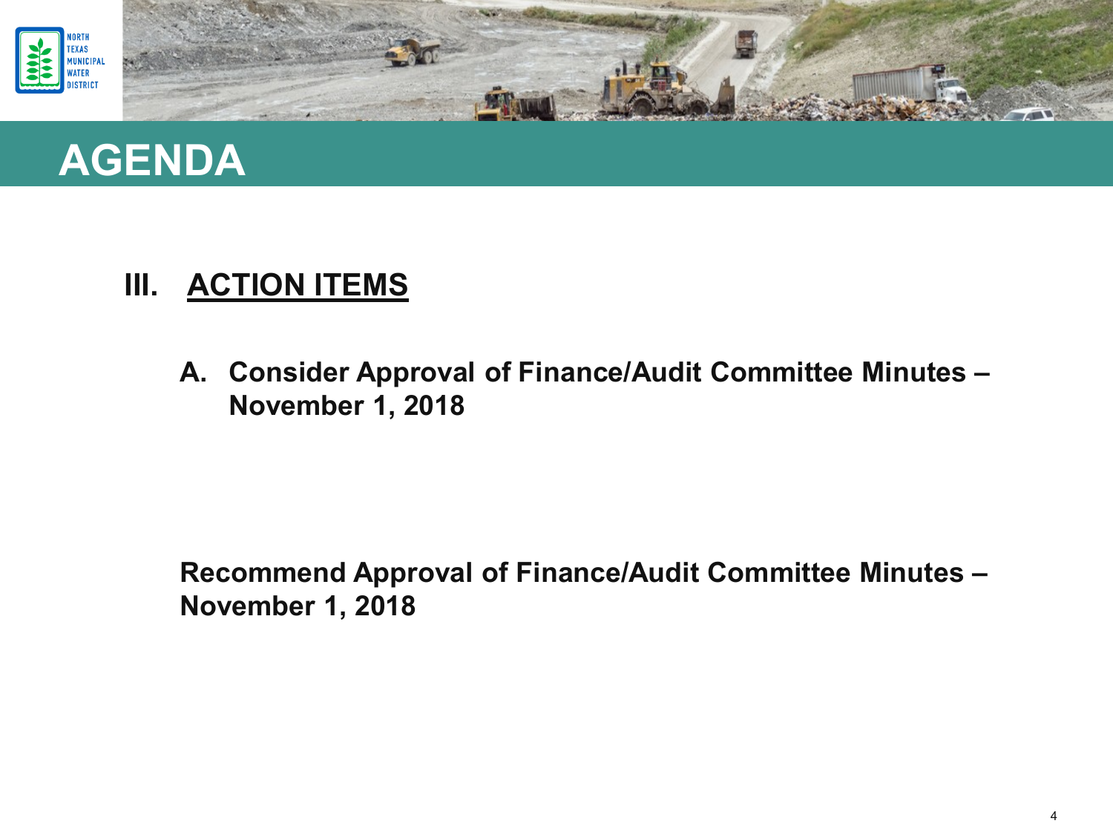



**A. Consider Approval of Finance/Audit Committee Minutes – November 1, 2018**

**Recommend Approval of Finance/Audit Committee Minutes – November 1, 2018**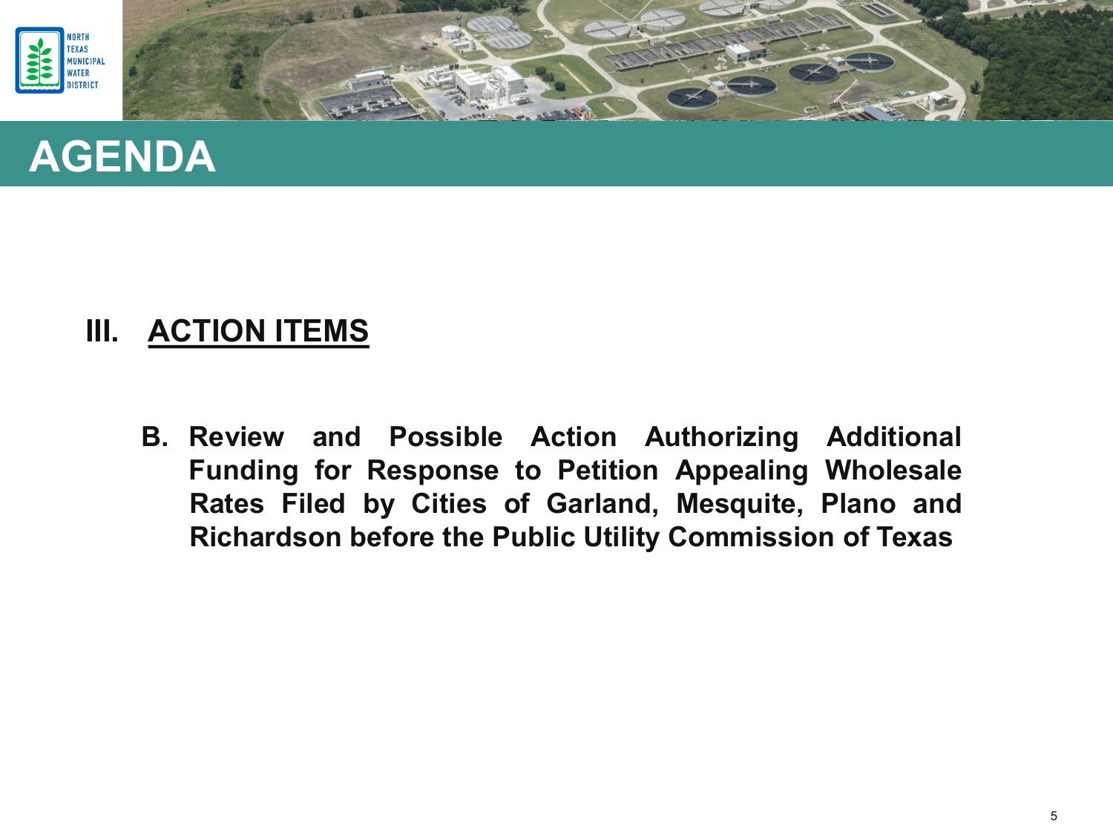





**B. Review and Possible Action Authorizing Additional Funding for Response to Petition Appealing Wholesale Rates Filed by Cities of Garland, Mesquite, Plano and Richardson before the Public Utility Commission of Texas**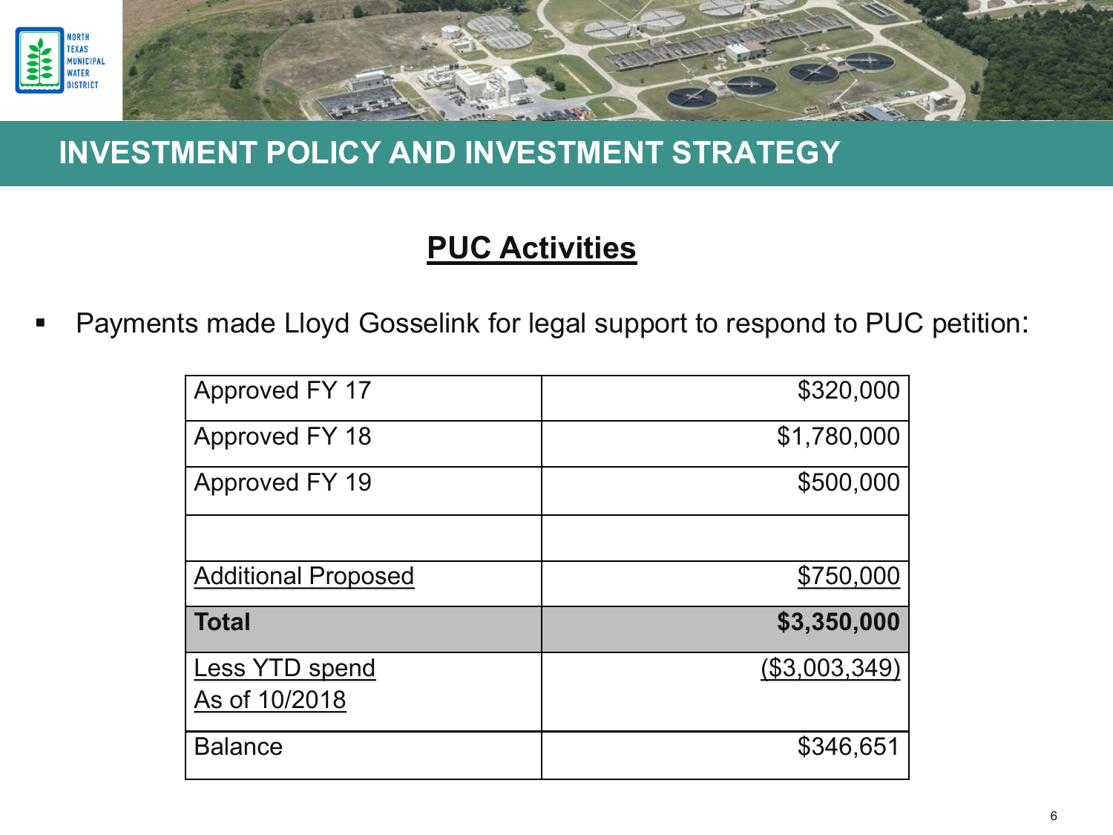

#### **PUC Activities**

Payments made Lloyd Gosselink for legal support to respond to PUC petition:

| Approved FY 17             | \$320,000     |
|----------------------------|---------------|
| Approved FY 18             | \$1,780,000   |
| Approved FY 19             | \$500,000     |
|                            |               |
| <b>Additional Proposed</b> | \$750,000     |
| <b>Total</b>               | \$3,350,000   |
| Less YTD spend             | (\$3,003,349) |
| As of 10/2018              |               |
| <b>Balance</b>             | \$346,651     |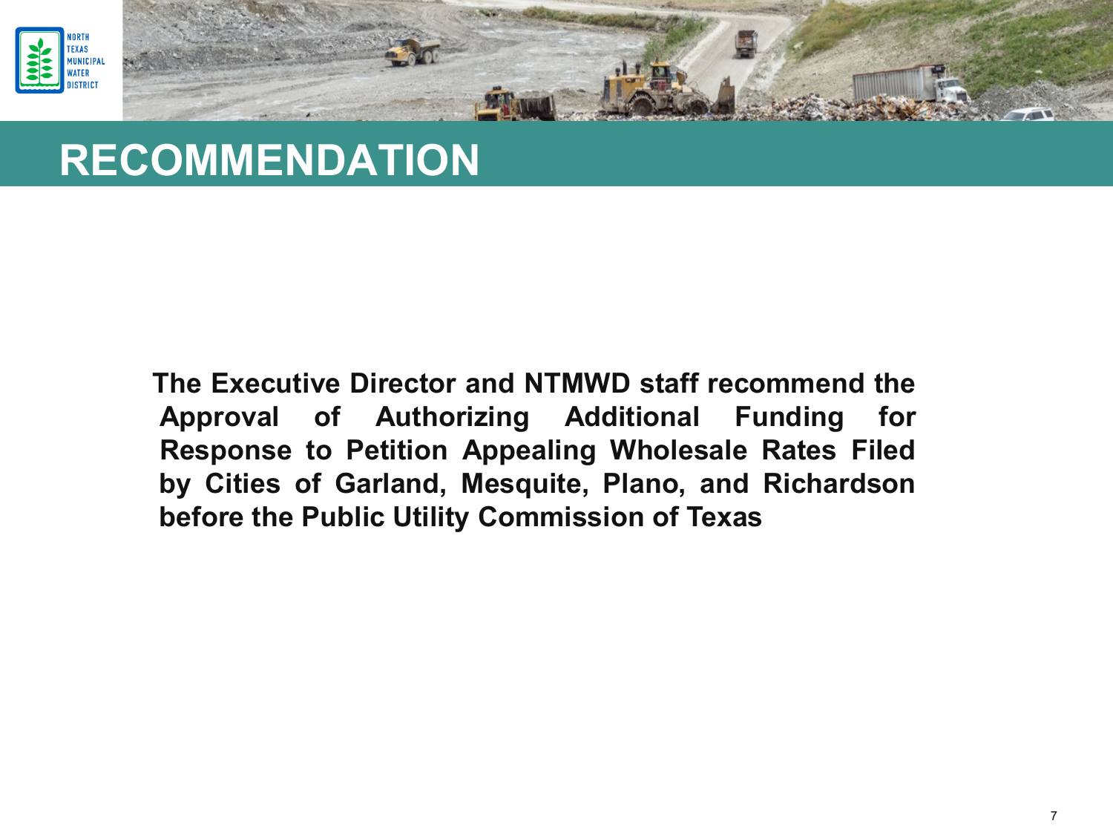



### **RECOMMENDATION**

**The Executive Director and NTMWD staff recommend the Approval of Authorizing Additional Funding for Response to Petition Appealing Wholesale Rates Filed by Cities of Garland, Mesquite, Plano, and Richardson before the Public Utility Commission of Texas**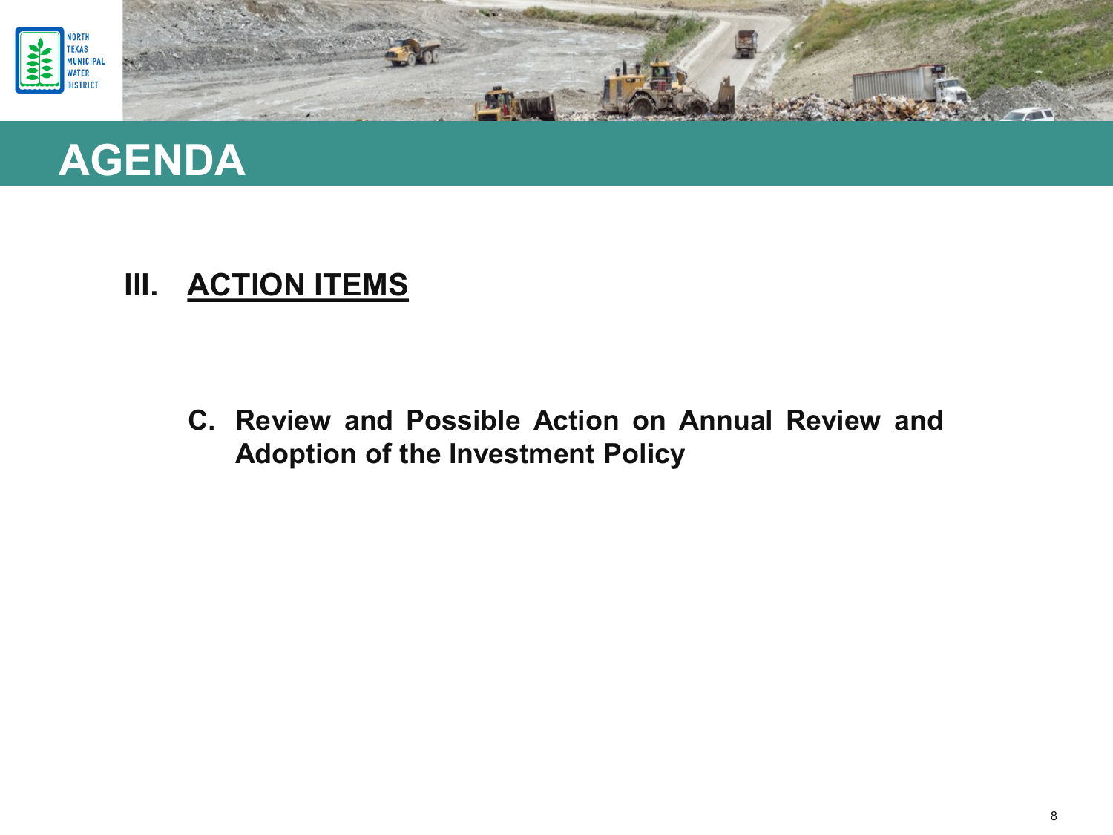



**C. Review and Possible Action on Annual Review and Adoption of the Investment Policy**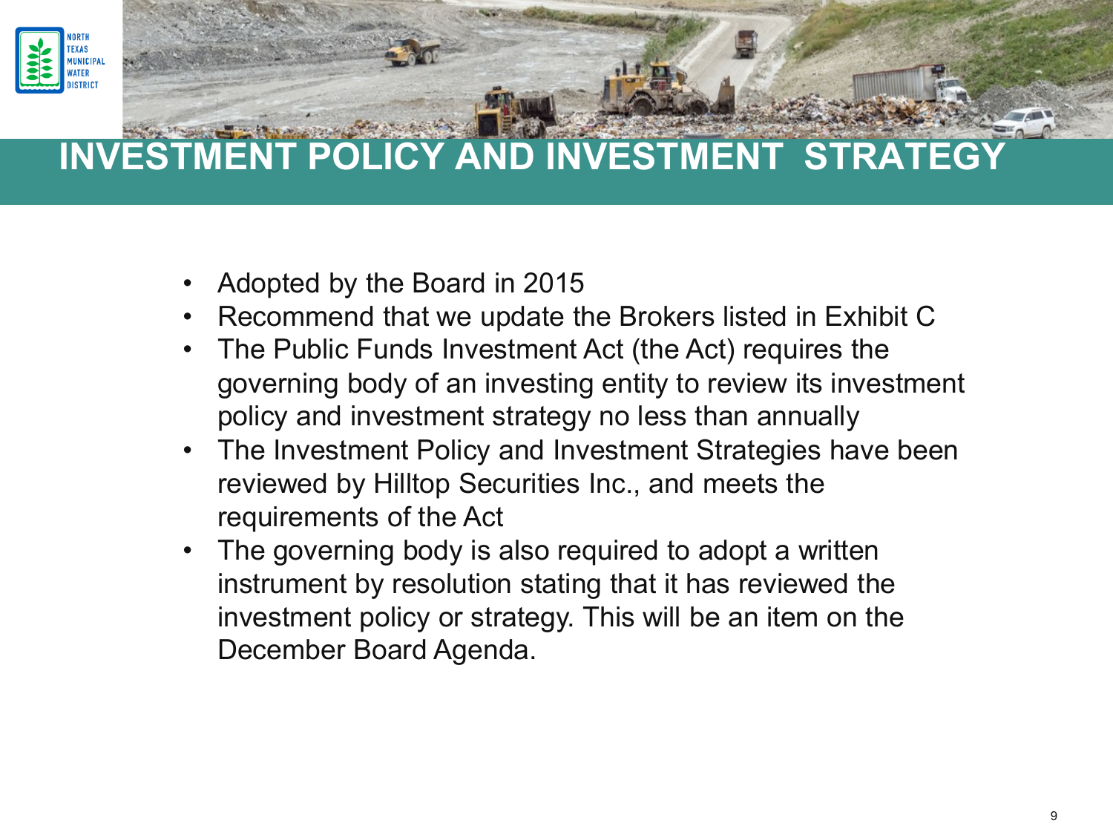

- Adopted by the Board in 2015
- Recommend that we update the Brokers listed in Exhibit C
- The Public Funds Investment Act (the Act) requires the governing body of an investing entity to review its investment policy and investment strategy no less than annually
- The Investment Policy and Investment Strategies have been reviewed by Hilltop Securities Inc., and meets the requirements of the Act
- The governing body is also required to adopt a written instrument by resolution stating that it has reviewed the investment policy or strategy. This will be an item on the December Board Agenda.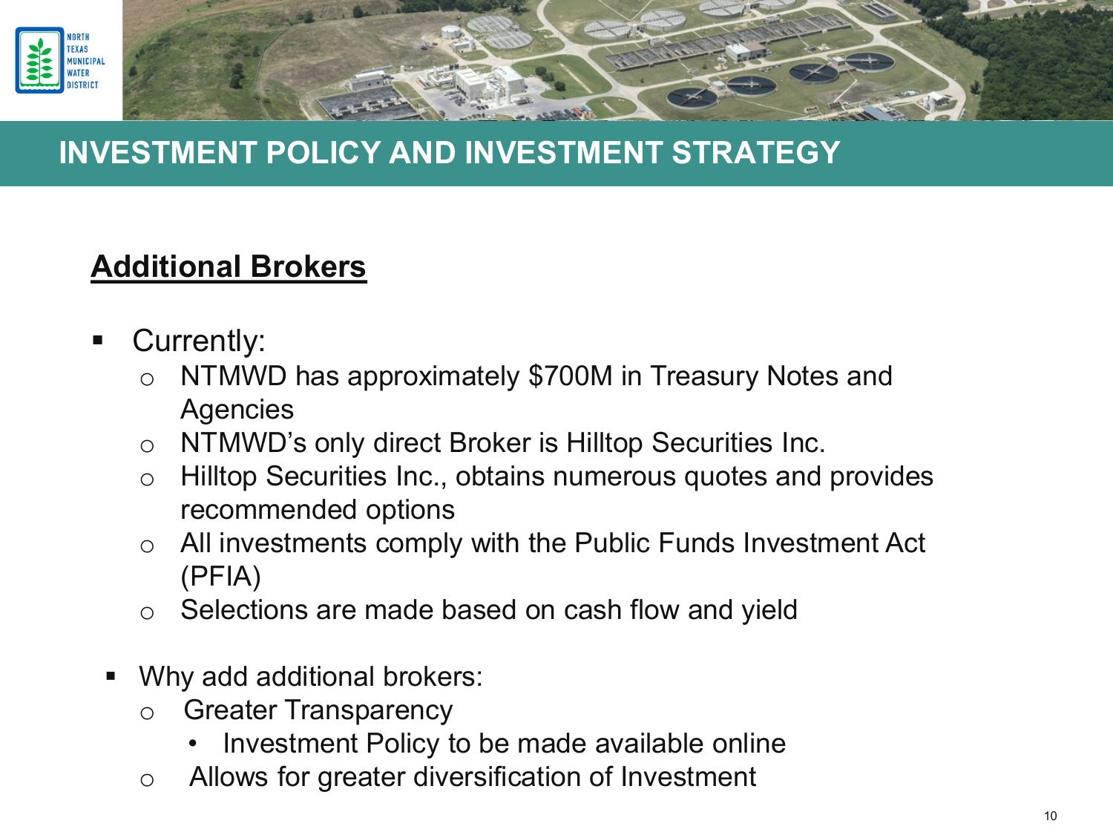

### **Additional Brokers**

- **Currently:** 
	- o NTMWD has approximately \$700M in Treasury Notes and **Agencies**
	- o NTMWD's only direct Broker is Hilltop Securities Inc.
	- o Hilltop Securities Inc., obtains numerous quotes and provides recommended options
	- o All investments comply with the Public Funds Investment Act (PFIA)
	- o Selections are made based on cash flow and yield
	- Why add additional brokers:
		- o Greater Transparency
			- Investment Policy to be made available online
		- o Allows for greater diversification of Investment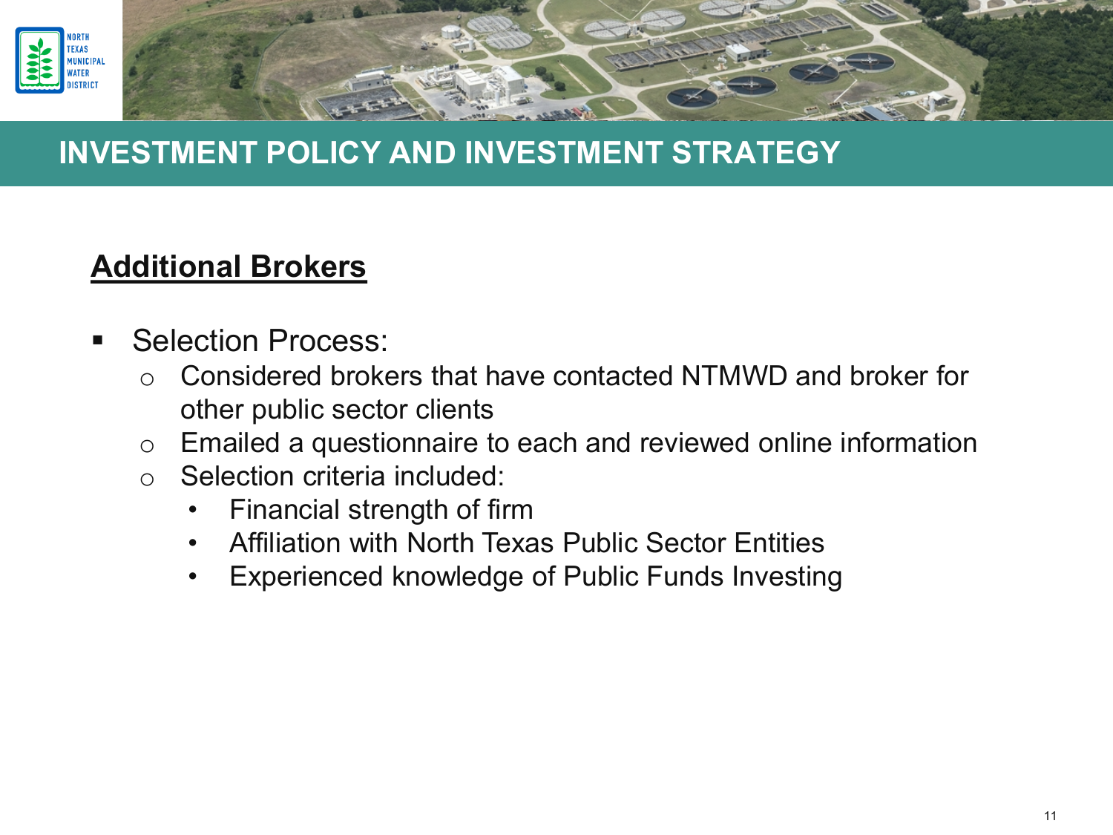

### **Additional Brokers**

- **Selection Process:** 
	- o Considered brokers that have contacted NTMWD and broker for other public sector clients
	- o Emailed a questionnaire to each and reviewed online information
	- o Selection criteria included:
		- Financial strength of firm
		- Affiliation with North Texas Public Sector Entities
		- Experienced knowledge of Public Funds Investing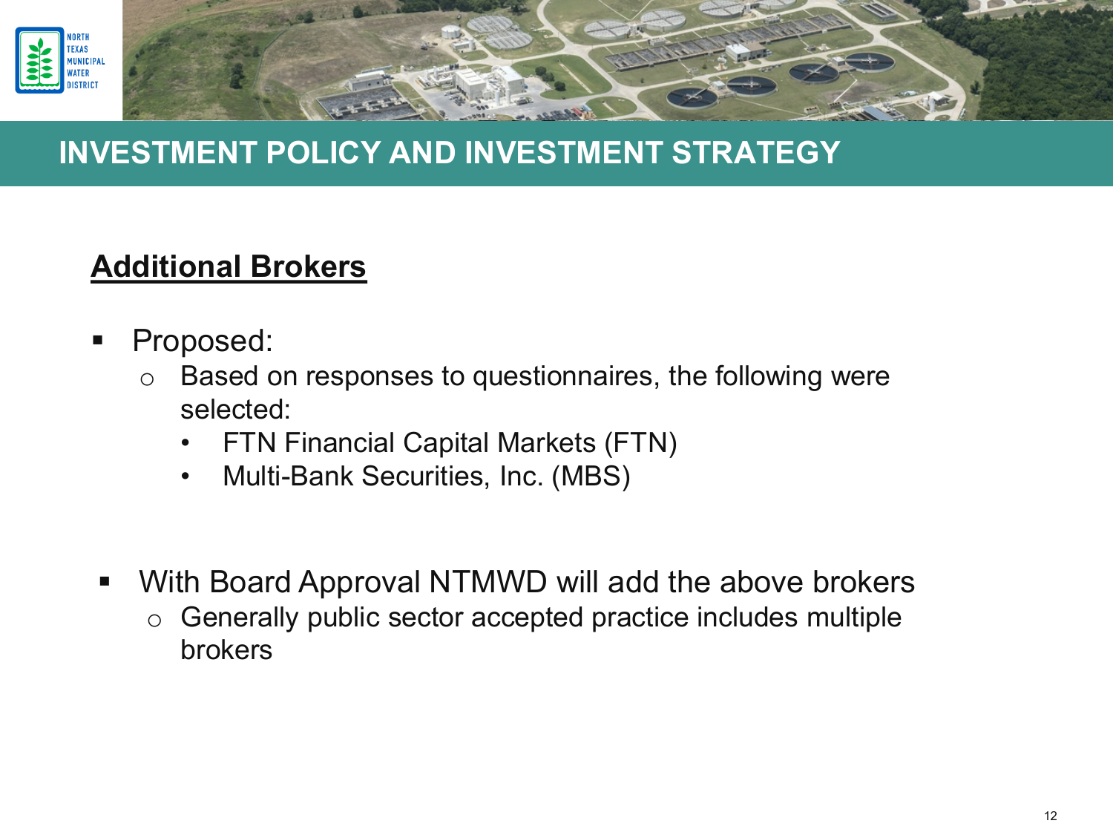

### **Additional Brokers**

- Proposed:
	- o Based on responses to questionnaires, the following were selected:
		- FTN Financial Capital Markets (FTN)
		- Multi-Bank Securities, Inc. (MBS)
- With Board Approval NTMWD will add the above brokers
	- o Generally public sector accepted practice includes multiple brokers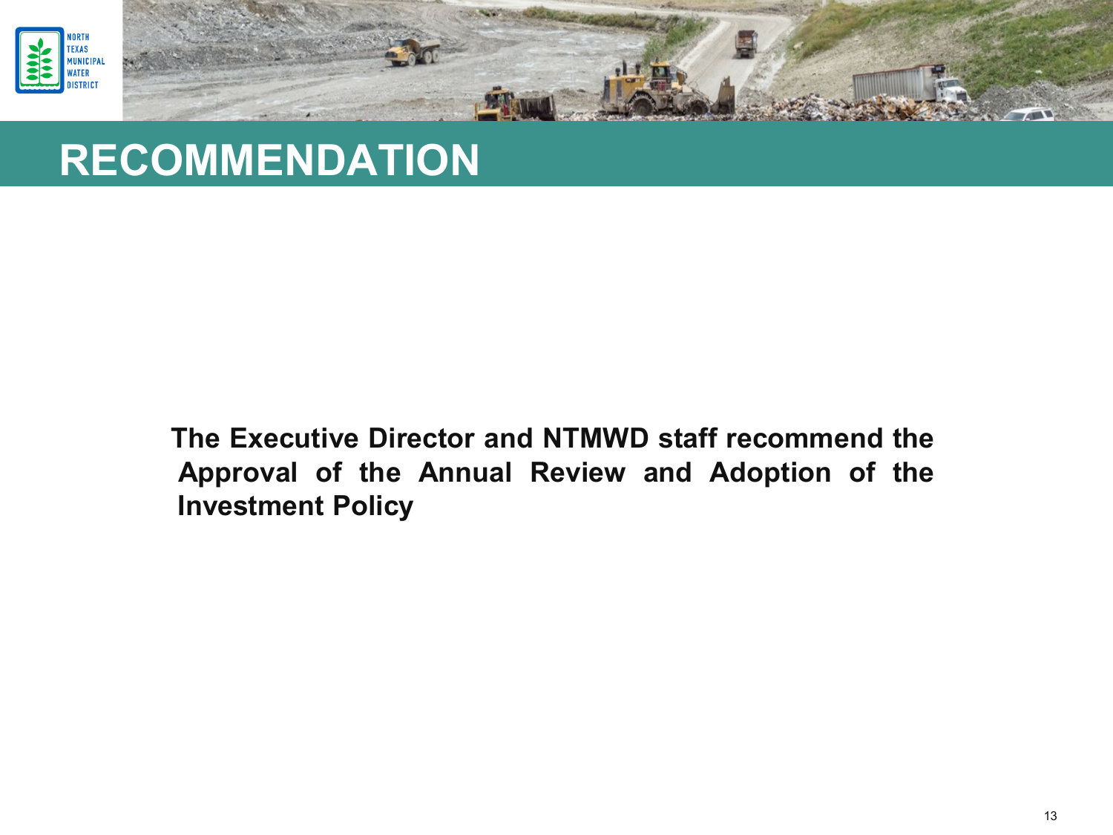



### **RECOMMENDATION**

**The Executive Director and NTMWD staff recommend the Approval of the Annual Review and Adoption of the Investment Policy**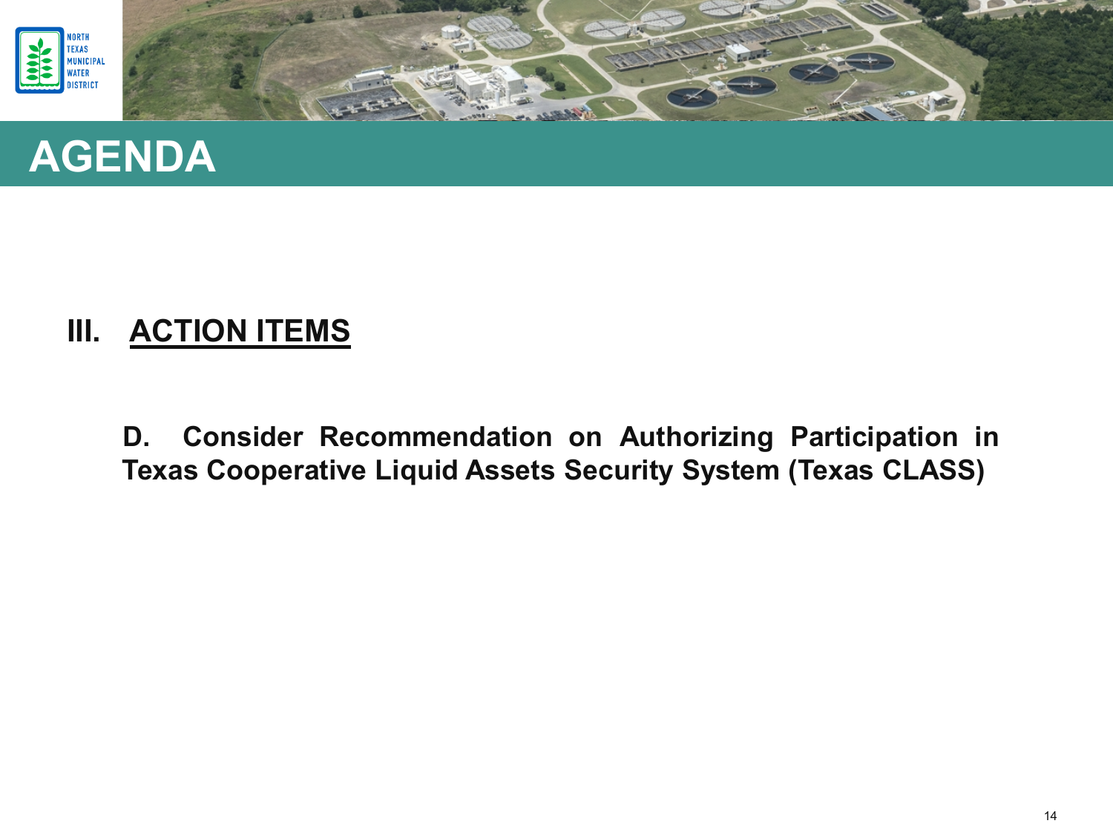





**D. Consider Recommendation on Authorizing Participation in Texas Cooperative Liquid Assets Security System (Texas CLASS)**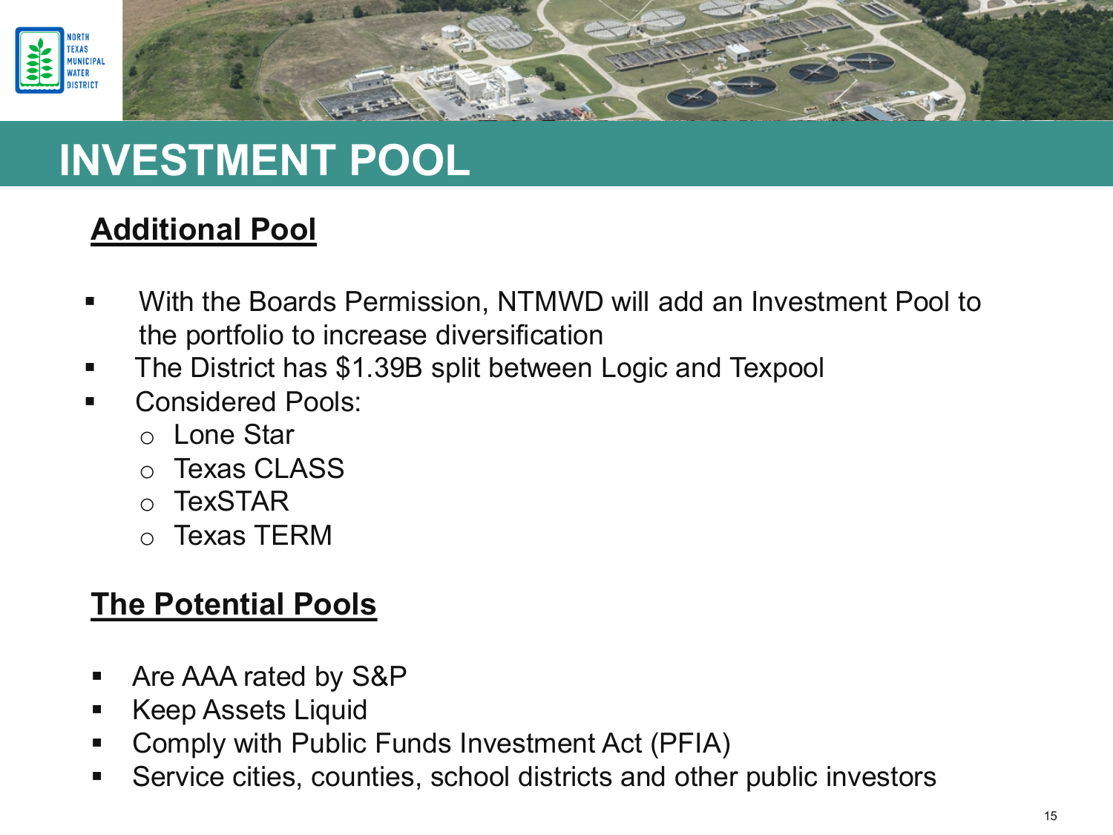



## **INVESTMENT POOL**

### **Additional Pool**

- With the Boards Permission, NTMWD will add an Investment Pool to the portfolio to increase diversification
- The District has \$1.39B split between Logic and Texpool
- Considered Pools:
	- o Lone Star
	- o Texas CLASS
	- o TexSTAR
	- o Texas TERM

#### **The Potential Pools**

- Are AAA rated by S&P
- **Keep Assets Liquid**
- Comply with Public Funds Investment Act (PFIA)
- Service cities, counties, school districts and other public investors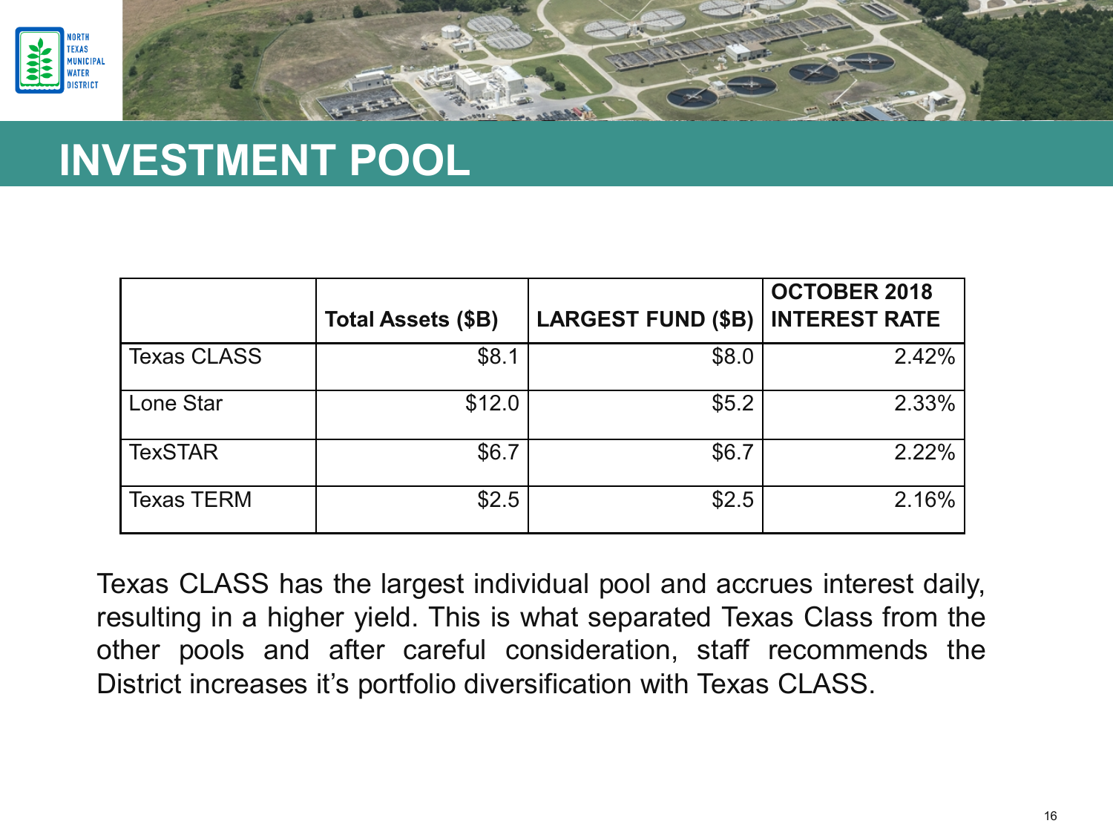



## **INVESTMENT POOL**

|                    | <b>Total Assets (\$B)</b> | <b>LARGEST FUND (\$B)</b> | <b>OCTOBER 2018</b><br><b>INTEREST RATE</b> |
|--------------------|---------------------------|---------------------------|---------------------------------------------|
| <b>Texas CLASS</b> | \$8.1                     | \$8.0                     | 2.42%                                       |
| Lone Star          | \$12.0                    | \$5.2                     | 2.33%                                       |
| <b>TexSTAR</b>     | \$6.7                     | \$6.7                     | 2.22%                                       |
| <b>Texas TERM</b>  | \$2.5                     | \$2.5                     | 2.16%                                       |

Texas CLASS has the largest individual pool and accrues interest daily, resulting in a higher yield. This is what separated Texas Class from the other pools and after careful consideration, staff recommends the District increases it's portfolio diversification with Texas CLASS.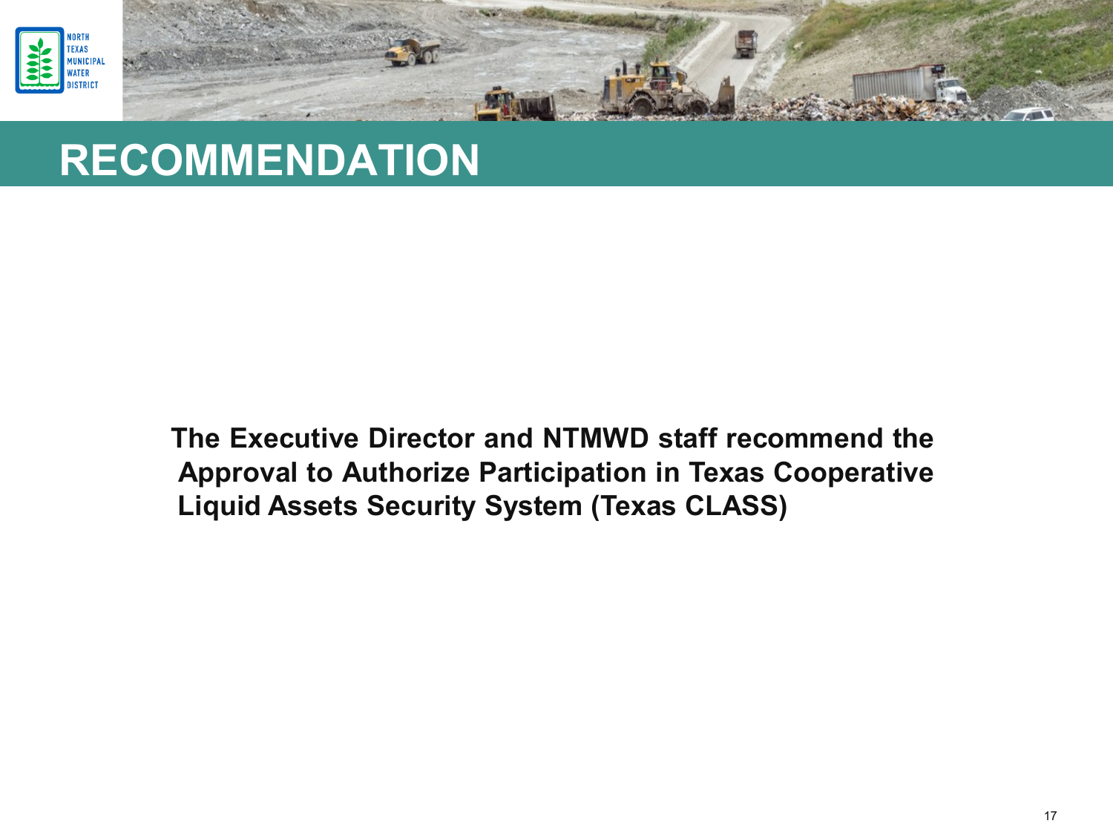



### **RECOMMENDATION**

**The Executive Director and NTMWD staff recommend the Approval to Authorize Participation in Texas Cooperative Liquid Assets Security System (Texas CLASS)**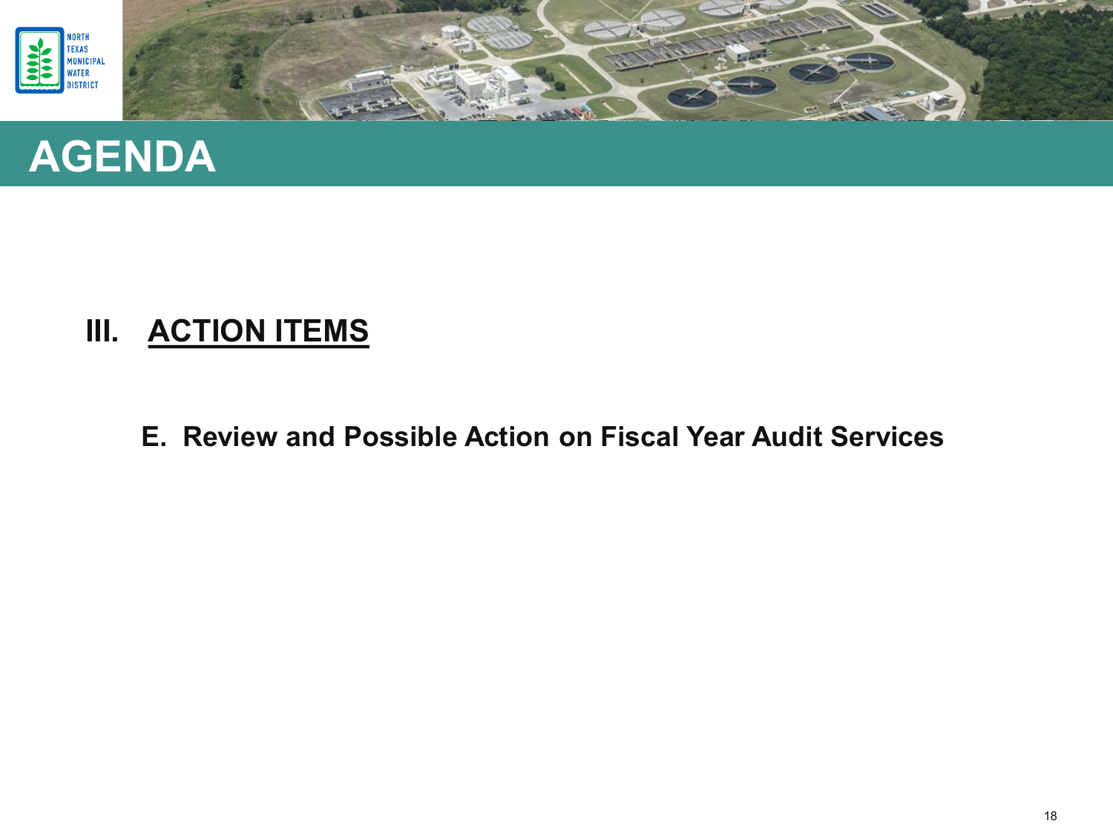





**E. Review and Possible Action on Fiscal Year Audit Services**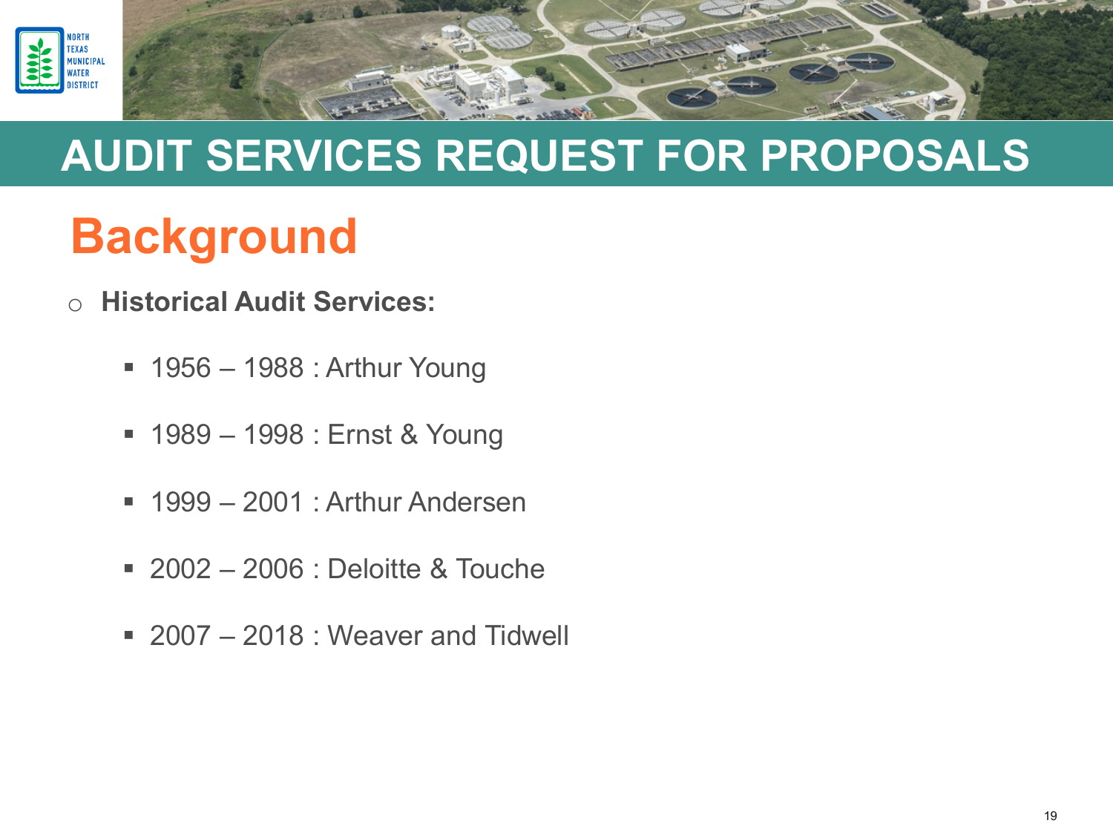

- o **Historical Audit Services:**
	- 1956 1988 : Arthur Young
	- 1989 1998 : Ernst & Young
	- 1999 2001 : Arthur Andersen
	- 2002 2006 : Deloitte & Touche
	- 2007 2018 : Weaver and Tidwell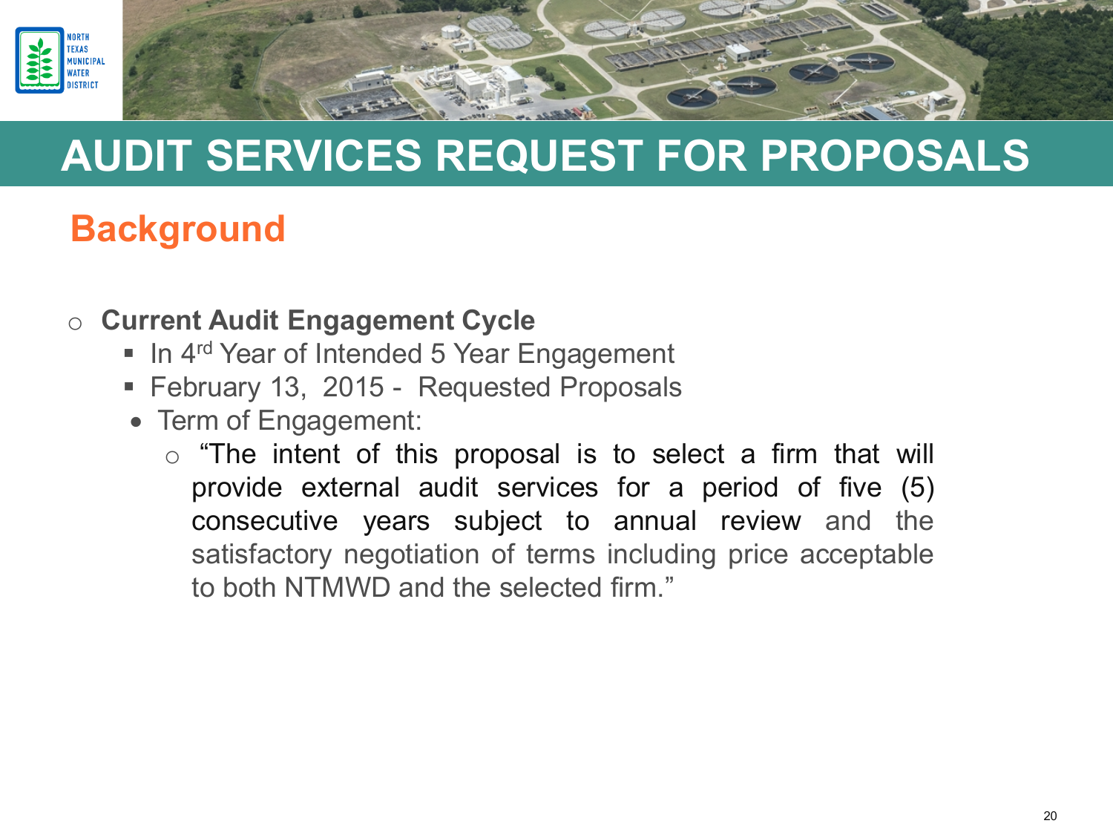

- o **Current Audit Engagement Cycle**
	- In 4<sup>rd</sup> Year of Intended 5 Year Engagement
	- February 13, 2015 Requested Proposals
	- Term of Engagement:
		- $\circ$  "The intent of this proposal is to select a firm that will provide external audit services for a period of five (5) consecutive years subject to annual review and the satisfactory negotiation of terms including price acceptable to both NTMWD and the selected firm."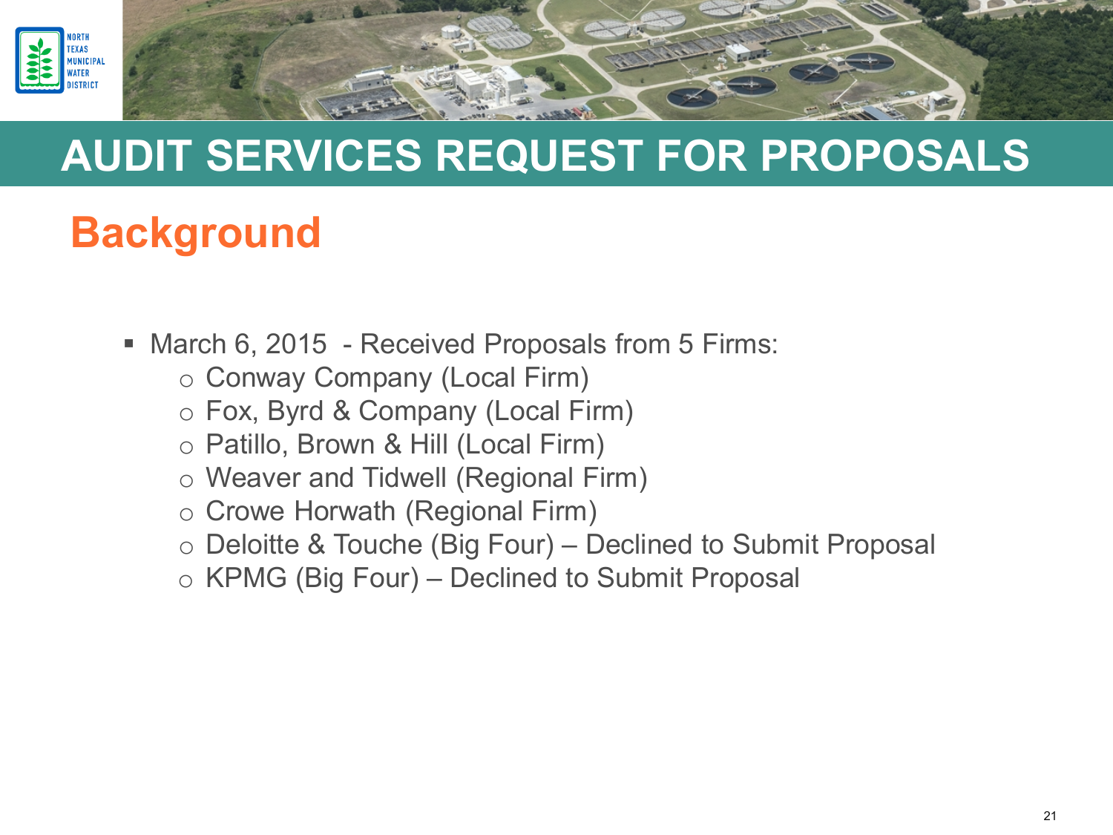

- March 6, 2015 Received Proposals from 5 Firms:
	- o Conway Company (Local Firm)
	- o Fox, Byrd & Company (Local Firm)
	- o Patillo, Brown & Hill (Local Firm)
	- o Weaver and Tidwell (Regional Firm)
	- o Crowe Horwath (Regional Firm)
	- o Deloitte & Touche (Big Four) Declined to Submit Proposal
	- o KPMG (Big Four) Declined to Submit Proposal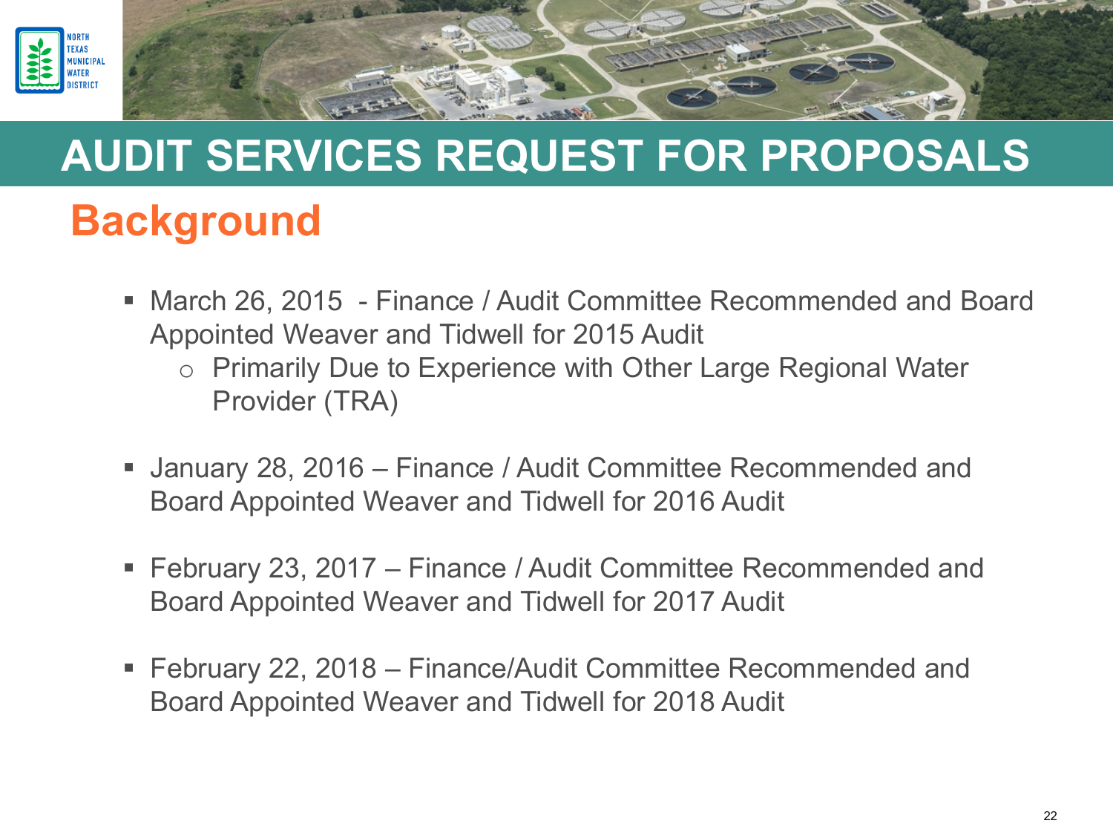

- March 26, 2015 Finance / Audit Committee Recommended and Board Appointed Weaver and Tidwell for 2015 Audit
	- o Primarily Due to Experience with Other Large Regional Water Provider (TRA)
- January 28, 2016 Finance / Audit Committee Recommended and Board Appointed Weaver and Tidwell for 2016 Audit
- February 23, 2017 Finance / Audit Committee Recommended and Board Appointed Weaver and Tidwell for 2017 Audit
- February 22, 2018 Finance/Audit Committee Recommended and Board Appointed Weaver and Tidwell for 2018 Audit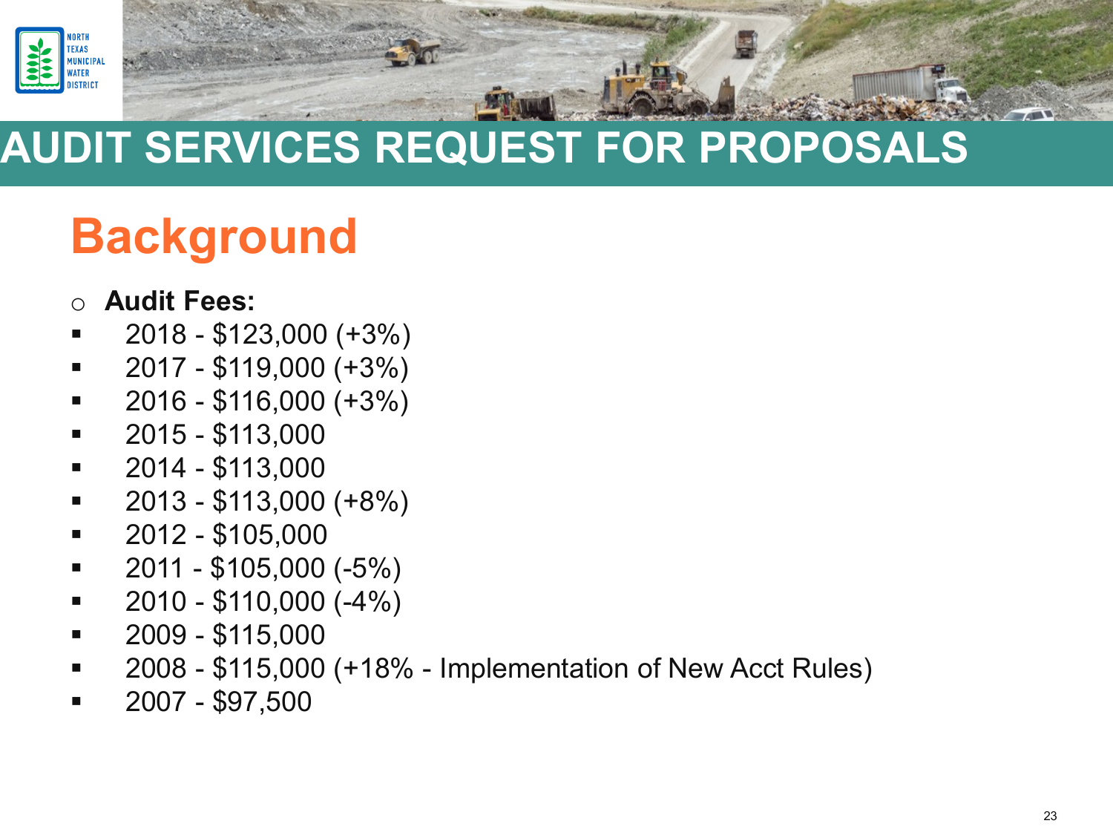

# **Background**

#### o **Audit Fees:**

- 2018 \$123,000 (+3%)
- $\bullet$  2017 \$119,000 (+3%)
- $\blacksquare$  2016 \$116,000 (+3%)
- $-2015 $113,000$
- $\blacksquare$  2014 \$113,000
- $\bullet$  2013 \$113,000 (+8%)
- $-2012 $105,000$
- $\blacksquare$  2011 \$105,000 (-5%)
- $\bullet$  2010 \$110,000 (-4%)
- $-2009 $115,000$
- 2008 \$115,000 (+18% Implementation of New Acct Rules)
- 2007 \$97,500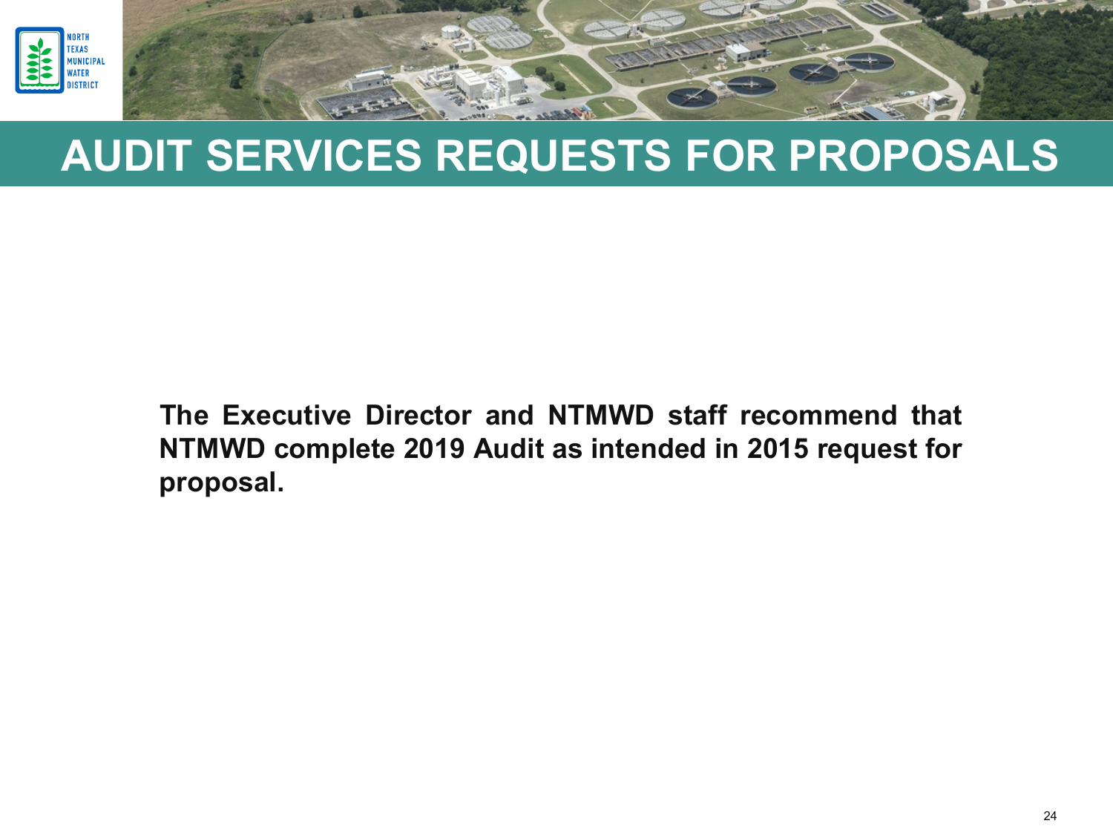

**The Executive Director and NTMWD staff recommend that NTMWD complete 2019 Audit as intended in 2015 request for proposal.**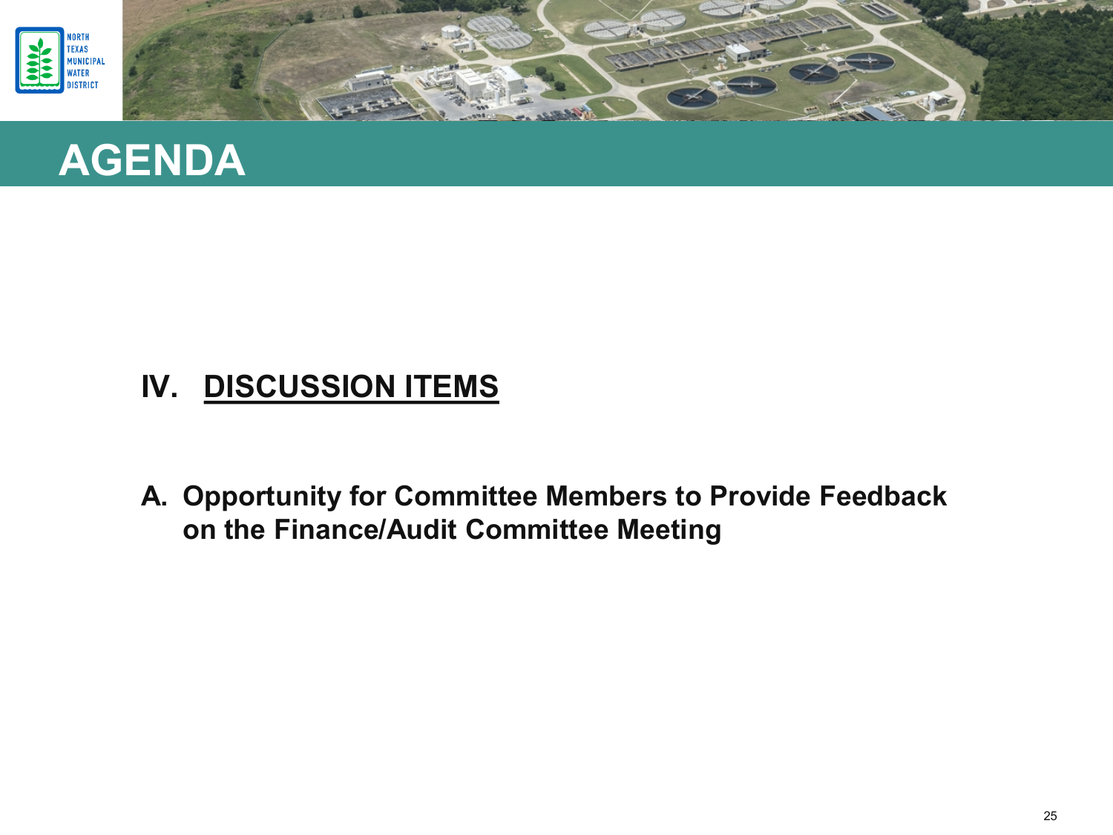



#### **IV. DISCUSSION ITEMS**

**A. Opportunity for Committee Members to Provide Feedback on the Finance/Audit Committee Meeting**